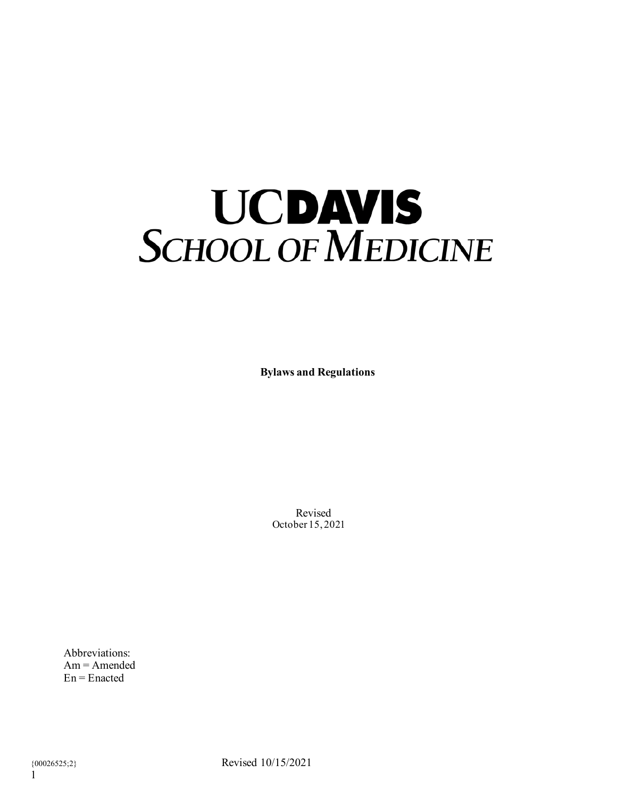# **UCDAVIS**<br>SCHOOL OF MEDICINE

**Bylaws and Regulations**

Revised October 15, 2021

Abbreviations: Am = Amended  $En = Enacted$ 

{00026525;2} Revised 10/15/2021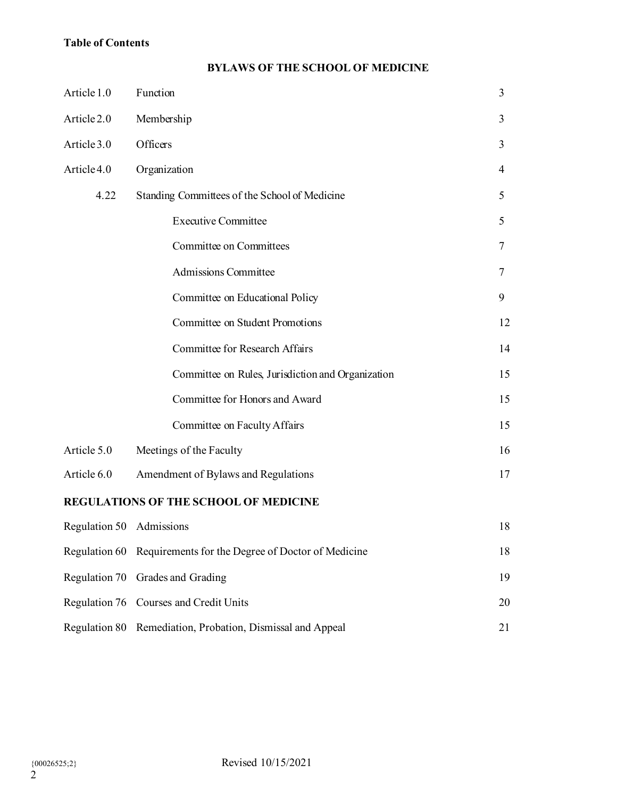# **Table of Contents**

# **BYLAWS OF THE SCHOOL OF MEDICINE**

| Article 1.0                           | Function                                                        | 3              |
|---------------------------------------|-----------------------------------------------------------------|----------------|
| Article 2.0                           | Membership                                                      | 3              |
| Article 3.0                           | Officers                                                        | $\overline{3}$ |
| Article 4.0                           | Organization                                                    | 4              |
| 4.22                                  | Standing Committees of the School of Medicine                   | 5              |
|                                       | <b>Executive Committee</b>                                      | 5              |
|                                       | Committee on Committees                                         | 7              |
|                                       | <b>Admissions Committee</b>                                     | 7              |
|                                       | Committee on Educational Policy                                 | 9              |
|                                       | Committee on Student Promotions                                 | 12             |
|                                       | <b>Committee for Research Affairs</b>                           | 14             |
|                                       | Committee on Rules, Jurisdiction and Organization               | 15             |
|                                       | Committee for Honors and Award                                  | 15             |
|                                       | Committee on Faculty Affairs                                    | 15             |
| Article 5.0                           | Meetings of the Faculty                                         | 16             |
| Article 6.0                           | Amendment of Bylaws and Regulations                             | 17             |
| REGULATIONS OF THE SCHOOL OF MEDICINE |                                                                 |                |
| Regulation 50 Admissions              |                                                                 | 18             |
|                                       | Regulation 60 Requirements for the Degree of Doctor of Medicine | 18             |
| Regulation 70                         | Grades and Grading                                              | 19             |
|                                       | Regulation 76 Courses and Credit Units                          | 20             |
|                                       | Regulation 80 Remediation, Probation, Dismissal and Appeal      | 21             |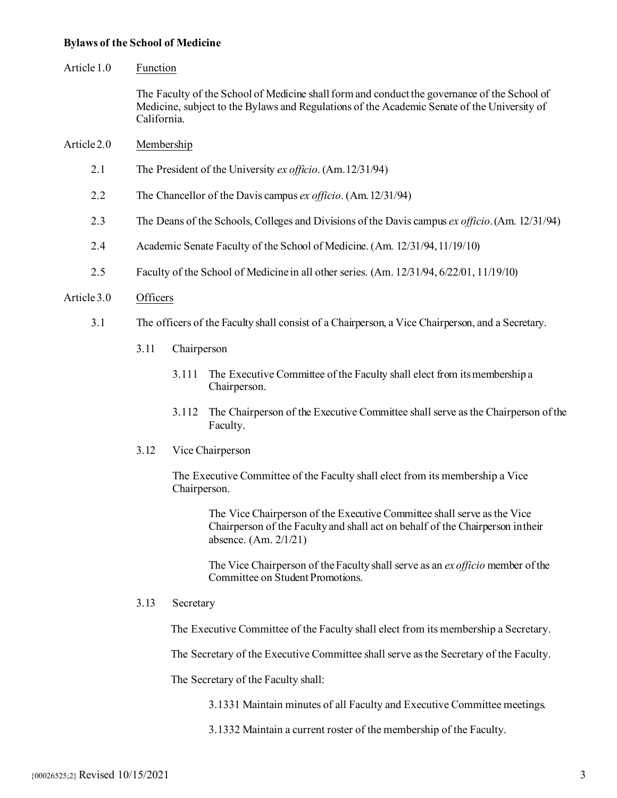#### **Bylaws of the School of Medicine**

#### Article 1.0 Function

The Faculty of the School of Medicine shall form and conduct the governance of the School of Medicine, subject to the Bylaws and Regulations of the Academic Senate of the University of California.

### Article 2.0 Membership

- 2.1 The President of the University *ex officio*. (Am.12/31/94)
- 2.2 The Chancellor of the Davis campus *ex officio*. (Am.12/31/94)
- 2.3 The Deans of the Schools, Colleges and Divisions of the Davis campus *ex officio*.(Am. 12/31/94)
- 2.4 Academic Senate Faculty of the School of Medicine. (Am. 12/31/94,11/19/10)
- 2.5 Faculty of the School of Medicine in all other series. (Am. 12/31/94, 6/22/01, 11/19/10)

#### Article 3.0 Officers

- 3.1 The officers of the Faculty shall consist of a Chairperson, a Vice Chairperson, and a Secretary.
	- 3.11 Chairperson
		- 3.111 The Executive Committee of the Faculty shall elect from itsmembership a Chairperson.
		- 3.112 The Chairperson of the Executive Committee shall serve as the Chairperson of the Faculty.
	- 3.12 Vice Chairperson

The Executive Committee of the Faculty shall elect from its membership a Vice Chairperson.

The Vice Chairperson of the Executive Committee shall serve as the Vice Chairperson of the Faculty and shall act on behalf of the Chairperson intheir absence. (Am. 2/1/21)

The Vice Chairperson of theFaculty shall serve as an *ex officio* member of the Committee on Student Promotions.

#### 3.13 Secretary

The Executive Committee of the Faculty shall elect from its membership a Secretary.

The Secretary of the Executive Committee shall serve as the Secretary of the Faculty.

The Secretary of the Faculty shall:

- 3.1331 Maintain minutes of all Faculty and Executive Committee meetings.
- 3.1332 Maintain a current roster of the membership of the Faculty.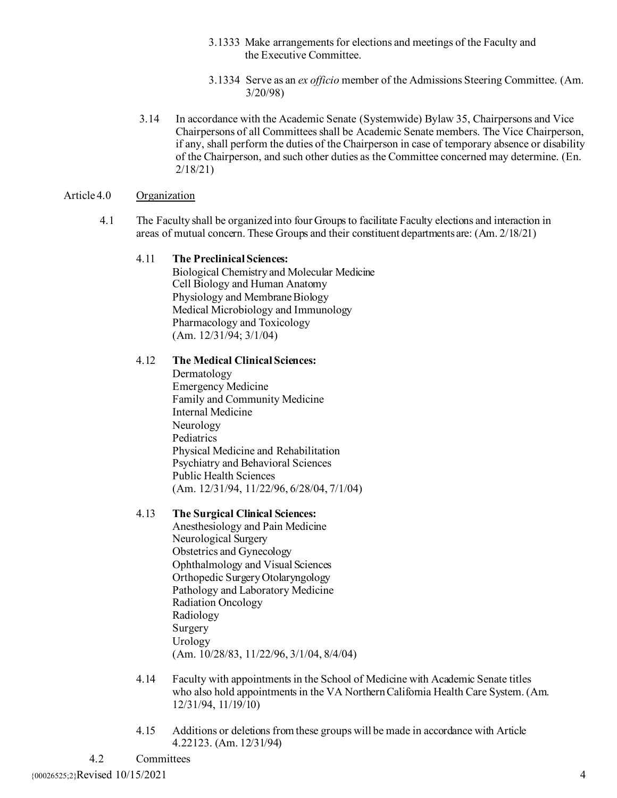- 3.1333 Make arrangements for elections and meetings of the Faculty and the Executive Committee.
- 3.1334 Serve as an *ex officio* member of the Admissions Steering Committee. (Am. 3/20/98)
- 3.14 In accordance with the Academic Senate (Systemwide) Bylaw 35, Chairpersons and Vice Chairpersons of all Committees shall be Academic Senate members. The Vice Chairperson, if any, shall perform the duties of the Chairperson in case of temporary absence or disability of the Chairperson, and such other duties as the Committee concerned may determine. (En. 2/18/21)

## Article 4.0 Organization

4.1 The Faculty shall be organized into four Groupsto facilitate Faculty elections and interaction in areas of mutual concern. These Groups and their constituent departmentsare: (Am. 2/18/21)

## 4.11 **The Preclinical Sciences:**

Biological Chemistry and Molecular Medicine Cell Biology and Human Anatomy Physiology and Membrane Biology Medical Microbiology and Immunology Pharmacology and Toxicology (Am. 12/31/94; 3/1/04)

## 4.12 **The Medical Clinical Sciences:**

Dermatology Emergency Medicine Family and Community Medicine Internal Medicine Neurology Pediatrics Physical Medicine and Rehabilitation Psychiatry and Behavioral Sciences Public Health Sciences (Am. 12/31/94, 11/22/96, 6/28/04, 7/1/04)

## 4.13 **The Surgical Clinical Sciences:**

Anesthesiology and Pain Medicine Neurological Surgery Obstetrics and Gynecology Ophthalmology and Visual Sciences Orthopedic Surgery Otolaryngology Pathology and Laboratory Medicine Radiation Oncology Radiology Surgery Urology (Am. 10/28/83, 11/22/96, 3/1/04, 8/4/04)

- 4.14 Faculty with appointments in the School of Medicine with Academic Senate titles who also hold appointments in the VA Northern California Health Care System. (Am. 12/31/94, 11/19/10)
- 4.15 Additions or deletions from these groups will be made in accordance with Article 4.22123. (Am. 12/31/94)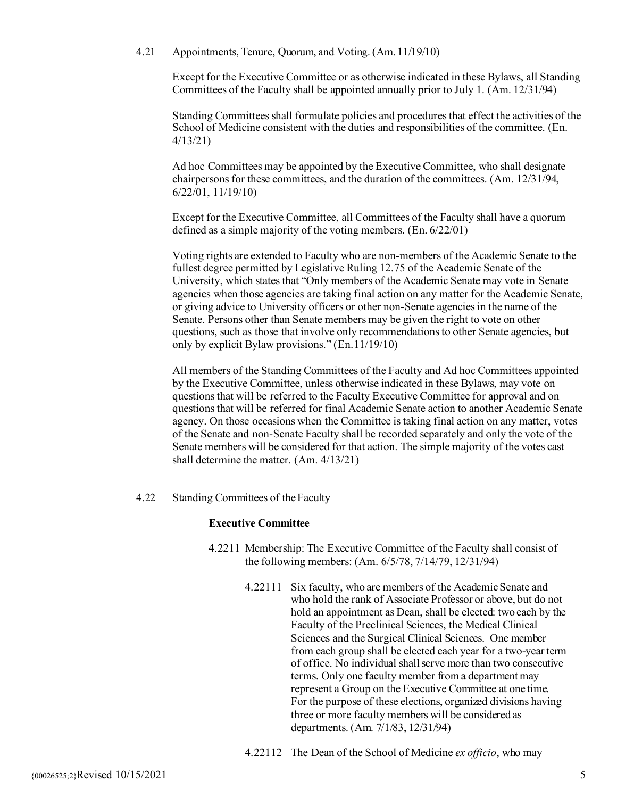4.21 Appointments, Tenure, Quorum, and Voting. (Am.11/19/10)

Except for the Executive Committee or as otherwise indicated in these Bylaws, all Standing Committees of the Faculty shall be appointed annually prior to July 1. (Am. 12/31/94)

Standing Committees shall formulate policies and procedures that effect the activities of the School of Medicine consistent with the duties and responsibilities of the committee. (En. 4/13/21)

Ad hoc Committees may be appointed by the Executive Committee, who shall designate chairpersons for these committees, and the duration of the committees. (Am. 12/31/94, 6/22/01, 11/19/10)

Except for the Executive Committee, all Committees of the Faculty shall have a quorum defined as a simple majority of the voting members. (En. 6/22/01)

Voting rights are extended to Faculty who are non-members of the Academic Senate to the fullest degree permitted by Legislative Ruling 12.75 of the Academic Senate of the University, which states that "Only members of the Academic Senate may vote in Senate agencies when those agencies are taking final action on any matter for the Academic Senate, or giving advice to University officers or other non-Senate agencies in the name of the Senate. Persons other than Senate members may be given the right to vote on other questions, such as those that involve only recommendations to other Senate agencies, but only by explicit Bylaw provisions." (En.11/19/10)

All members of the Standing Committees of the Faculty and Ad hoc Committees appointed by the Executive Committee, unless otherwise indicated in these Bylaws, may vote on questions that will be referred to the Faculty Executive Committee for approval and on questions that will be referred for final Academic Senate action to another Academic Senate agency. On those occasions when the Committee is taking final action on any matter, votes of the Senate and non-Senate Faculty shall be recorded separately and only the vote of the Senate members will be considered for that action. The simple majority of the votes cast shall determine the matter. (Am. 4/13/21)

4.22 Standing Committees of theFaculty

## **Executive Committee**

- 4.2211 Membership: The Executive Committee of the Faculty shall consist of the following members: (Am. 6/5/78, 7/14/79, 12/31/94)
	- 4.22111 Six faculty, who are members of the Academic Senate and who hold the rank of Associate Professor or above, but do not hold an appointment as Dean, shall be elected: two each by the Faculty of the Preclinical Sciences, the Medical Clinical Sciences and the Surgical Clinical Sciences. One member from each group shall be elected each year for a two-year term of office. No individual shall serve more than two consecutive terms. Only one faculty member from a department may represent a Group on the Executive Committee at one time. For the purpose of these elections, organized divisions having three or more faculty members will be considered as departments. (Am. 7/1/83, 12/31/94)

4.22112 The Dean of the School of Medicine *ex officio*, who may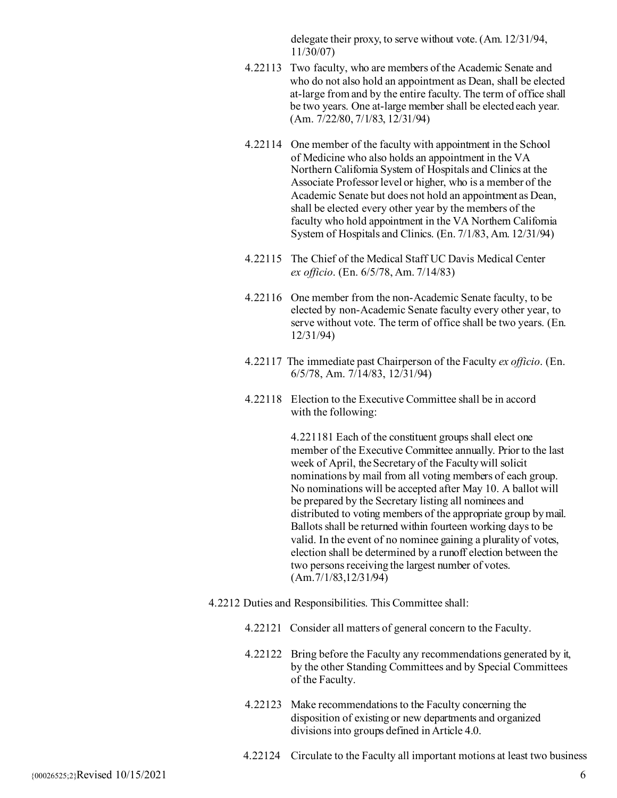delegate their proxy, to serve without vote. (Am. 12/31/94, 11/30/07)

- 4.22113 Two faculty, who are members of the Academic Senate and who do not also hold an appointment as Dean, shall be elected at-large from and by the entire faculty. The term of office shall be two years. One at-large member shall be elected each year. (Am. 7/22/80, 7/1/83, 12/31/94)
- 4.22114 One member of the faculty with appointment in the School of Medicine who also holds an appointment in the VA Northern California System of Hospitals and Clinics at the Associate Professor level or higher, who is a member of the Academic Senate but does not hold an appointment as Dean, shall be elected every other year by the members of the faculty who hold appointment in the VA Northern California System of Hospitals and Clinics. (En. 7/1/83, Am. 12/31/94)
- 4.22115 The Chief of the Medical Staff UC Davis Medical Center *ex officio*. (En. 6/5/78, Am. 7/14/83)
- 4.22116 One member from the non-Academic Senate faculty, to be elected by non-Academic Senate faculty every other year, to serve without vote. The term of office shall be two years. (En. 12/31/94)
- 4.22117 The immediate past Chairperson of the Faculty *ex officio*. (En. 6/5/78, Am. 7/14/83, 12/31/94)
- 4.22118 Election to the Executive Committee shall be in accord with the following:

4.221181 Each of the constituent groups shall elect one member of the Executive Committee annually. Prior to the last week of April, the Secretary of the Faculty will solicit nominations by mail from all voting members of each group. No nominations will be accepted after May 10. A ballot will be prepared by the Secretary listing all nominees and distributed to voting members of the appropriate group bymail. Ballots shall be returned within fourteen working days to be valid. In the event of no nominee gaining a plurality of votes, election shall be determined by a runoff election between the two persons receiving the largest number of votes. (Am.7/1/83,12/31/94)

- 4.2212 Duties and Responsibilities. This Committee shall:
	- 4.22121 Consider all matters of general concern to the Faculty.
	- 4.22122 Bring before the Faculty any recommendations generated by it, by the other Standing Committees and by Special Committees of the Faculty.
	- 4.22123 Make recommendations to the Faculty concerning the disposition of existing or new departments and organized divisions into groups defined in Article 4.0.
	- 4.22124 Circulate to the Faculty all important motions at least two business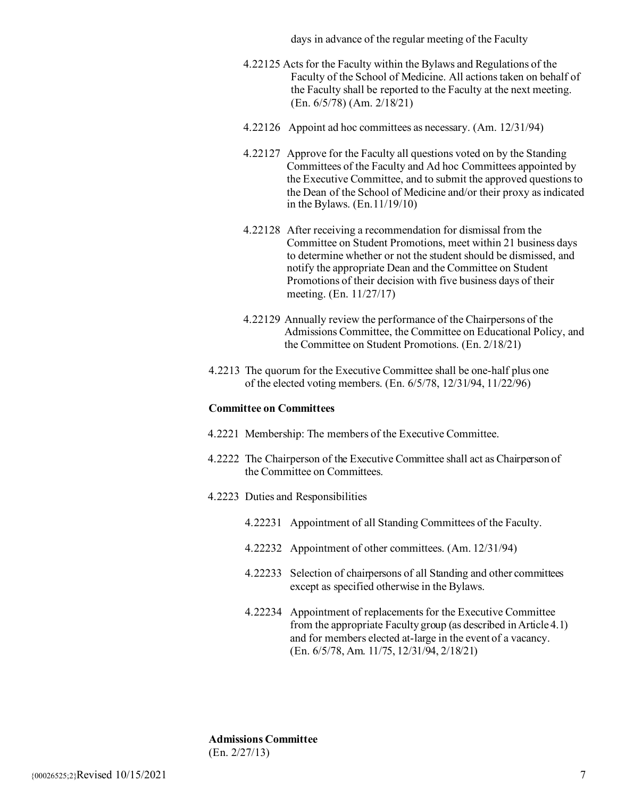days in advance of the regular meeting of the Faculty

- 4.22125 Acts for the Faculty within the Bylaws and Regulations of the Faculty of the School of Medicine. All actions taken on behalf of the Faculty shall be reported to the Faculty at the next meeting. (En. 6/5/78) (Am. 2/18/21)
- 4.22126 Appoint ad hoc committees as necessary. (Am. 12/31/94)
- 4.22127 Approve for the Faculty all questions voted on by the Standing Committees of the Faculty and Ad hoc Committees appointed by the Executive Committee, and to submit the approved questions to the Dean of the School of Medicine and/or their proxy as indicated in the Bylaws. (En.11/19/10)
- 4.22128 After receiving a recommendation for dismissal from the Committee on Student Promotions, meet within 21 business days to determine whether or not the student should be dismissed, and notify the appropriate Dean and the Committee on Student Promotions of their decision with five business days of their meeting. (En. 11/27/17)
- 4.22129 Annually review the performance of the Chairpersons of the Admissions Committee, the Committee on Educational Policy, and the Committee on Student Promotions. (En. 2/18/21)
- 4.2213 The quorum for the Executive Committee shall be one-half plus one of the elected voting members. (En. 6/5/78, 12/31/94, 11/22/96)

#### **Committee on Committees**

- 4.2221 Membership: The members of the Executive Committee.
- 4.2222 The Chairperson of the Executive Committee shall act as Chairperson of the Committee on Committees.
- 4.2223 Duties and Responsibilities
	- 4.22231 Appointment of all Standing Committees of the Faculty.
	- 4.22232 Appointment of other committees. (Am. 12/31/94)
	- 4.22233 Selection of chairpersons of all Standing and other committees except as specified otherwise in the Bylaws.
	- 4.22234 Appointment of replacements for the Executive Committee from the appropriate Faculty group (as described in Article 4.1) and for members elected at-large in the event of a vacancy. (En. 6/5/78, Am. 11/75, 12/31/94, 2/18/21)

**Admissions Committee** (En. 2/27/13)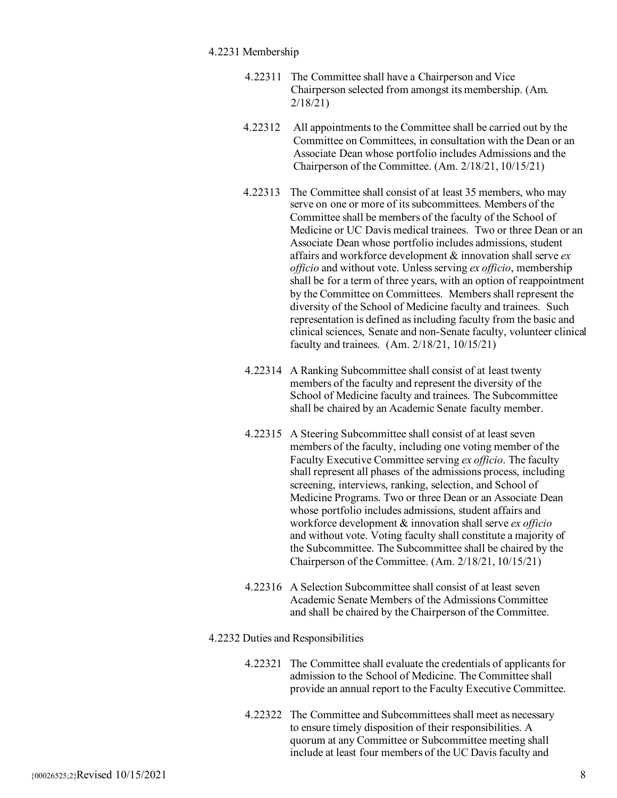## 4.2231 Membership

- 4.22311 The Committee shall have a Chairperson and Vice Chairperson selected from amongst its membership. (Am. 2/18/21)
- 4.22312 All appointments to the Committee shall be carried out by the Committee on Committees, in consultation with the Dean or an Associate Dean whose portfolio includes Admissions and the Chairperson of the Committee. (Am. 2/18/21, 10/15/21)
- 4.22313 The Committee shall consist of at least 35 members, who may serve on one or more of its subcommittees. Members of the Committee shall be members of the faculty of the School of Medicine or UC Davis medical trainees. Two or three Dean or an Associate Dean whose portfolio includes admissions, student affairs and workforce development & innovation shall serve *ex officio* and without vote. Unless serving *ex officio*, membership shall be for a term of three years, with an option of reappointment by the Committee on Committees. Members shall represent the diversity of the School of Medicine faculty and trainees. Such representation is defined as including faculty from the basic and clinical sciences, Senate and non-Senate faculty, volunteer clinical faculty and trainees. (Am. 2/18/21, 10/15/21)
- 4.22314 A Ranking Subcommittee shall consist of at least twenty members of the faculty and represent the diversity of the School of Medicine faculty and trainees. The Subcommittee shall be chaired by an Academic Senate faculty member.
- 4.22315 A Steering Subcommittee shall consist of at least seven members of the faculty, including one voting member of the Faculty Executive Committee serving *ex officio*. The faculty shall represent all phases of the admissions process, including screening, interviews, ranking, selection, and School of Medicine Programs. Two or three Dean or an Associate Dean whose portfolio includes admissions, student affairs and workforce development & innovation shall serve *ex officio* and without vote. Voting faculty shall constitute a majority of the Subcommittee. The Subcommittee shall be chaired by the Chairperson of the Committee. (Am. 2/18/21, 10/15/21)
- 4.22316 A Selection Subcommittee shall consist of at least seven Academic Senate Members of the Admissions Committee and shall be chaired by the Chairperson of the Committee.

4.2232 Duties and Responsibilities

- 4.22321 The Committee shall evaluate the credentials of applicants for admission to the School of Medicine. The Committee shall provide an annual report to the Faculty Executive Committee.
- 4.22322 The Committee and Subcommittees shall meet as necessary to ensure timely disposition of their responsibilities. A quorum at any Committee or Subcommittee meeting shall include at least four members of the UC Davis faculty and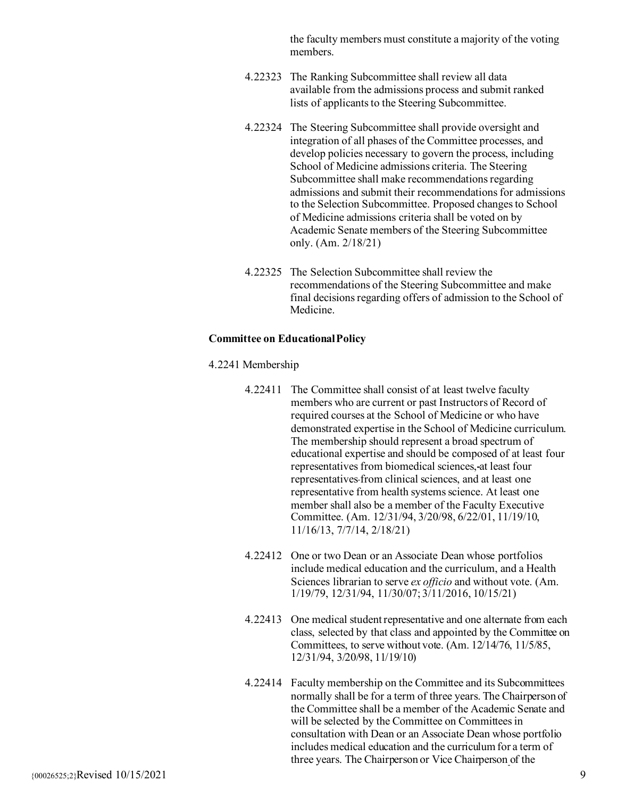the faculty members must constitute a majority of the voting members.

- 4.22323 The Ranking Subcommittee shall review all data available from the admissions process and submit ranked lists of applicants to the Steering Subcommittee.
- 4.22324 The Steering Subcommittee shall provide oversight and integration of all phases of the Committee processes, and develop policies necessary to govern the process, including School of Medicine admissions criteria. The Steering Subcommittee shall make recommendations regarding admissions and submit their recommendations for admissions to the Selection Subcommittee. Proposed changes to School of Medicine admissions criteria shall be voted on by Academic Senate members of the Steering Subcommittee only. (Am. 2/18/21)
- 4.22325 The Selection Subcommittee shall review the recommendations of the Steering Subcommittee and make final decisions regarding offers of admission to the School of Medicine.

#### **Committee on EducationalPolicy**

#### 4.2241 Membership

- 4.22411 The Committee shall consist of at least twelve faculty members who are current or past Instructors of Record of required courses at the School of Medicine or who have demonstrated expertise in the School of Medicine curriculum. The membership should represent a broad spectrum of educational expertise and should be composed of at least four representatives from biomedical sciences, at least four representatives from clinical sciences, and at least one representative from health systems science. At least one member shall also be a member of the Faculty Executive Committee. (Am. 12/31/94, 3/20/98, 6/22/01, 11/19/10, 11/16/13, 7/7/14, 2/18/21)
- 4.22412 One or two Dean or an Associate Dean whose portfolios include medical education and the curriculum, and a Health Sciences librarian to serve *ex officio* and without vote. (Am. 1/19/79, 12/31/94, 11/30/07; 3/11/2016, 10/15/21)
- 4.22413 One medical student representative and one alternate from each class, selected by that class and appointed by the Committee on Committees, to serve without vote. (Am. 12/14/76, 11/5/85, 12/31/94, 3/20/98, 11/19/10)
- 4.22414 Faculty membership on the Committee and its Subcommittees normally shall be for a term of three years. The Chairperson of the Committee shall be a member of the Academic Senate and will be selected by the Committee on Committees in consultation with Dean or an Associate Dean whose portfolio includes medical education and the curriculum for a term of three years. The Chairperson or Vice Chairperson of the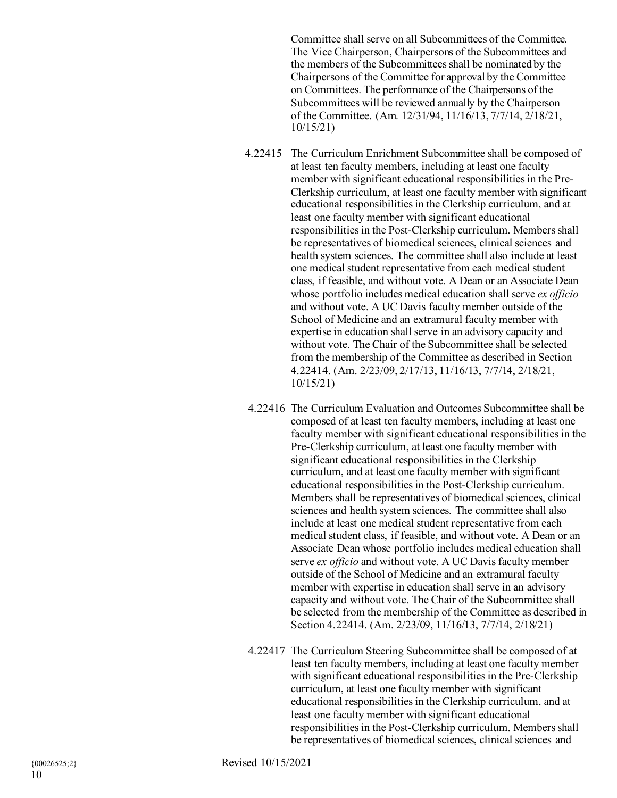Committee shall serve on all Subcommittees of the Committee. The Vice Chairperson, Chairpersons of the Subcommittees and the members of the Subcommittees shall be nominated by the Chairpersons of the Committee for approval by the Committee on Committees. The performance of the Chairpersons of the Subcommittees will be reviewed annually by the Chairperson of the Committee. (Am. 12/31/94, 11/16/13, 7/7/14, 2/18/21, 10/15/21)

- 4.22415 The Curriculum Enrichment Subcommittee shall be composed of at least ten faculty members, including at least one faculty member with significant educational responsibilities in the Pre-Clerkship curriculum, at least one faculty member with significant educational responsibilities in the Clerkship curriculum, and at least one faculty member with significant educational responsibilities in the Post-Clerkship curriculum. Members shall be representatives of biomedical sciences, clinical sciences and health system sciences. The committee shall also include at least one medical student representative from each medical student class, if feasible, and without vote. A Dean or an Associate Dean whose portfolio includes medical education shall serve *ex officio* and without vote. A UC Davis faculty member outside of the School of Medicine and an extramural faculty member with expertise in education shall serve in an advisory capacity and without vote. The Chair of the Subcommittee shall be selected from the membership of the Committee as described in Section 4.22414. (Am. 2/23/09, 2/17/13, 11/16/13, 7/7/14, 2/18/21, 10/15/21)
- 4.22416 The Curriculum Evaluation and Outcomes Subcommittee shall be composed of at least ten faculty members, including at least one faculty member with significant educational responsibilities in the Pre-Clerkship curriculum, at least one faculty member with significant educational responsibilities in the Clerkship curriculum, and at least one faculty member with significant educational responsibilities in the Post-Clerkship curriculum. Members shall be representatives of biomedical sciences, clinical sciences and health system sciences. The committee shall also include at least one medical student representative from each medical student class, if feasible, and without vote. A Dean or an Associate Dean whose portfolio includes medical education shall serve *ex officio* and without vote. A UC Davis faculty member outside of the School of Medicine and an extramural faculty member with expertise in education shall serve in an advisory capacity and without vote. The Chair of the Subcommittee shall be selected from the membership of the Committee as described in Section 4.22414. (Am. 2/23/09, 11/16/13, 7/7/14, 2/18/21)
- 4.22417 The Curriculum Steering Subcommittee shall be composed of at least ten faculty members, including at least one faculty member with significant educational responsibilities in the Pre-Clerkship curriculum, at least one faculty member with significant educational responsibilities in the Clerkship curriculum, and at least one faculty member with significant educational responsibilities in the Post-Clerkship curriculum. Members shall be representatives of biomedical sciences, clinical sciences and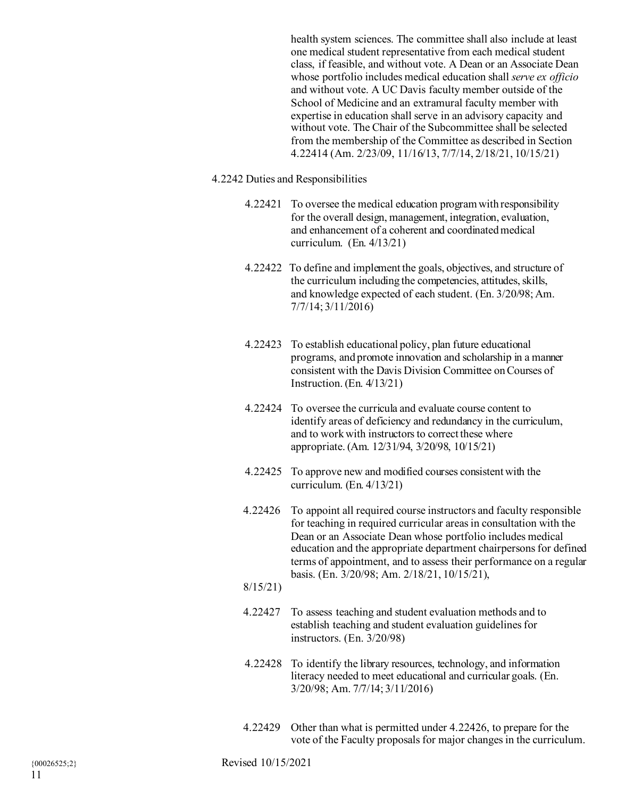health system sciences. The committee shall also include at least one medical student representative from each medical student class, if feasible, and without vote. A Dean or an Associate Dean whose portfolio includes medical education shall *serve ex officio* and without vote. A UC Davis faculty member outside of the School of Medicine and an extramural faculty member with expertise in education shall serve in an advisory capacity and without vote. The Chair of the Subcommittee shall be selected from the membership of the Committee as described in Section 4.22414 (Am. 2/23/09, 11/16/13, 7/7/14, 2/18/21, 10/15/21)

- 4.2242 Duties and Responsibilities
	- 4.22421 To oversee the medical education program with responsibility for the overall design, management, integration, evaluation, and enhancement of a coherent and coordinated medical curriculum. (En. 4/13/21)
	- 4.22422 To define and implement the goals, objectives, and structure of the curriculum including the competencies, attitudes, skills, and knowledge expected of each student. (En. 3/20/98; Am. 7/7/14; 3/11/2016)
	- 4.22423 To establish educational policy, plan future educational programs, and promote innovation and scholarship in a manner consistent with the Davis Division Committee on Courses of Instruction. (En. 4/13/21)
	- 4.22424 To oversee the curricula and evaluate course content to identify areas of deficiency and redundancy in the curriculum, and to workwith instructors to correct these where appropriate. (Am. 12/31/94, 3/20/98, 10/15/21)
	- 4.22425 To approve new and modified courses consistent with the curriculum. (En. 4/13/21)
	- 4.22426 To appoint all required course instructors and faculty responsible for teaching in required curricular areas in consultation with the Dean or an Associate Dean whose portfolio includes medical education and the appropriate department chairpersons for defined terms of appointment, and to assess their performance on a regular basis. (En. 3/20/98; Am. 2/18/21, 10/15/21),
	- 8/15/21)
	- 4.22427 To assess teaching and student evaluation methods and to establish teaching and student evaluation guidelines for instructors. (En. 3/20/98)
	- 4.22428 To identify the library resources, technology, and information literacy needed to meet educational and curricular goals. (En. 3/20/98; Am. 7/7/14; 3/11/2016)
	- 4.22429 Other than what is permitted under 4.22426, to prepare for the vote of the Faculty proposals for major changes in the curriculum.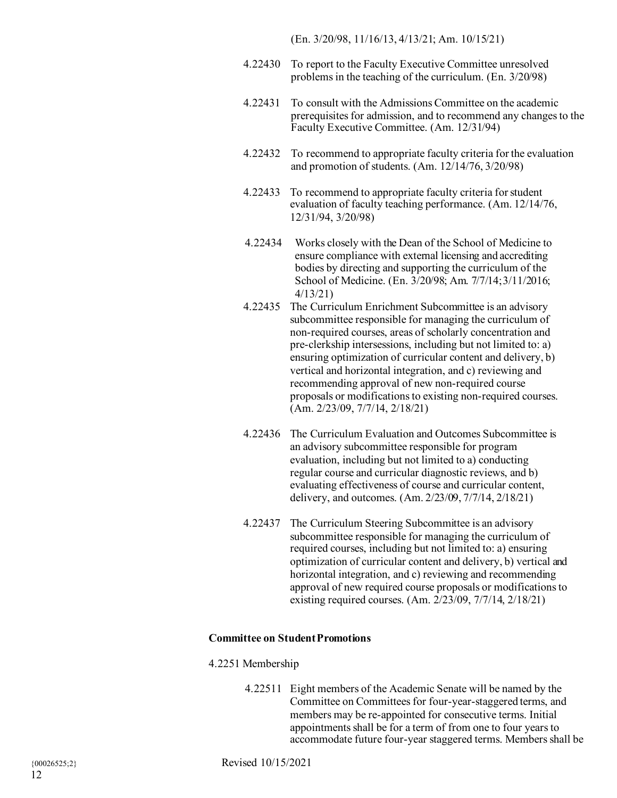(En. 3/20/98, 11/16/13, 4/13/21; Am. 10/15/21)

- 4.22430 To report to the Faculty Executive Committee unresolved problems in the teaching of the curriculum. (En. 3/20/98)
- 4.22431 To consult with the Admissions Committee on the academic prerequisites for admission, and to recommend any changes to the Faculty Executive Committee. (Am. 12/31/94)
- 4.22432 To recommend to appropriate faculty criteria for the evaluation and promotion of students. (Am. 12/14/76, 3/20/98)
- 4.22433 To recommend to appropriate faculty criteria for student evaluation of faculty teaching performance. (Am. 12/14/76, 12/31/94, 3/20/98)
- 4.22434 Works closely with the Dean of the School of Medicine to ensure compliance with external licensing and accrediting bodies by directing and supporting the curriculum of the School of Medicine. (En. 3/20/98; Am. 7/7/14;3/11/2016; 4/13/21)
- 4.22435 The Curriculum Enrichment Subcommittee is an advisory subcommittee responsible for managing the curriculum of non-required courses, areas of scholarly concentration and pre-clerkship intersessions, including but not limited to: a) ensuring optimization of curricular content and delivery, b) vertical and horizontal integration, and c) reviewing and recommending approval of new non-required course proposals or modifications to existing non-required courses. (Am. 2/23/09, 7/7/14, 2/18/21)
- 4.22436 The Curriculum Evaluation and Outcomes Subcommittee is an advisory subcommittee responsible for program evaluation, including but not limited to a) conducting regular course and curricular diagnostic reviews, and b) evaluating effectiveness of course and curricular content, delivery, and outcomes. (Am. 2/23/09, 7/7/14, 2/18/21)
- 4.22437 The Curriculum Steering Subcommittee is an advisory subcommittee responsible for managing the curriculum of required courses, including but not limited to: a) ensuring optimization of curricular content and delivery, b) vertical and horizontal integration, and c) reviewing and recommending approval of new required course proposals or modifications to existing required courses. (Am. 2/23/09, 7/7/14, 2/18/21)

### **Committee on StudentPromotions**

## 4.2251 Membership

4.22511 Eight members of the Academic Senate will be named by the Committee on Committees for four-year-staggered terms, and members may be re-appointed for consecutive terms. Initial appointments shall be for a term of from one to four years to accommodate future four-year staggered terms. Members shall be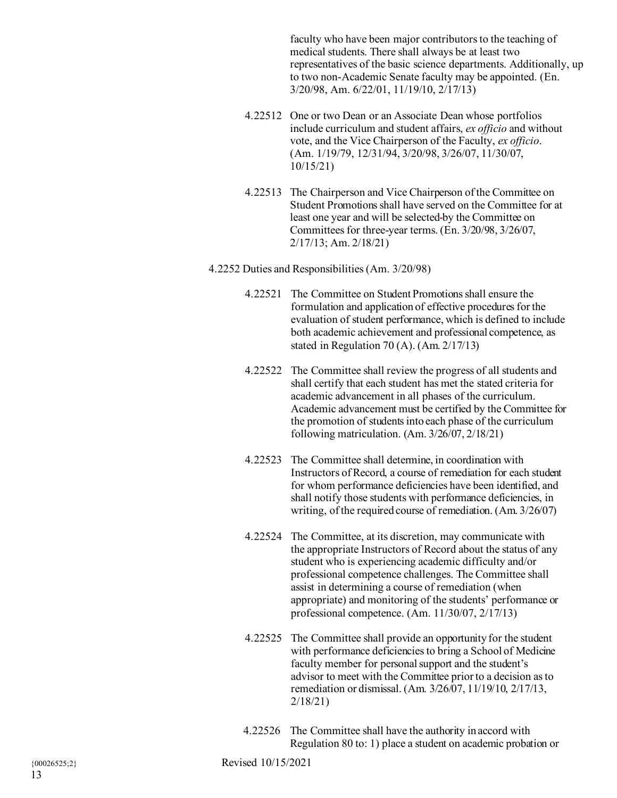faculty who have been major contributors to the teaching of medical students. There shall always be at least two representatives of the basic science departments. Additionally, up to two non-Academic Senate faculty may be appointed. (En. 3/20/98, Am. 6/22/01, 11/19/10, 2/17/13)

- 4.22512 One or two Dean or an Associate Dean whose portfolios include curriculum and student affairs, *ex officio* and without vote, and the Vice Chairperson of the Faculty, *ex officio*. (Am. 1/19/79, 12/31/94, 3/20/98, 3/26/07, 11/30/07, 10/15/21)
- 4.22513 The Chairperson and Vice Chairperson of the Committee on Student Promotions shall have served on the Committee for at least one year and will be selected by the Committee on Committees for three-year terms. (En. 3/20/98, 3/26/07, 2/17/13; Am. 2/18/21)

## 4.2252 Duties and Responsibilities (Am. 3/20/98)

- 4.22521 The Committee on Student Promotions shall ensure the formulation and application of effective procedures for the evaluation of student performance, which is defined to include both academic achievement and professional competence, as stated in Regulation 70 (A). (Am. 2/17/13)
- 4.22522 The Committee shall review the progress of all students and shall certify that each student has met the stated criteria for academic advancement in all phases of the curriculum. Academic advancement must be certified by the Committee for the promotion of students into each phase of the curriculum following matriculation. (Am. 3/26/07, 2/18/21)
- 4.22523 The Committee shall determine, in coordination with Instructors of Record, a course of remediation for each student for whom performance deficiencies have been identified, and shall notify those students with performance deficiencies, in writing, of the required course of remediation. (Am. 3/26/07)
- 4.22524 The Committee, at its discretion, may communicate with the appropriate Instructors of Record about the status of any student who is experiencing academic difficulty and/or professional competence challenges. The Committee shall assist in determining a course of remediation (when appropriate) and monitoring of the students' performance or professional competence. (Am. 11/30/07, 2/17/13)
- 4.22525 The Committee shall provide an opportunity for the student with performance deficiencies to bring a School of Medicine faculty member for personal support and the student's advisor to meet with the Committee prior to a decision as to remediation or dismissal. (Am. 3/26/07, 11/19/10, 2/17/13, 2/18/21)
- 4.22526 The Committee shall have the authority in accord with Regulation 80 to: 1) place a student on academic probation or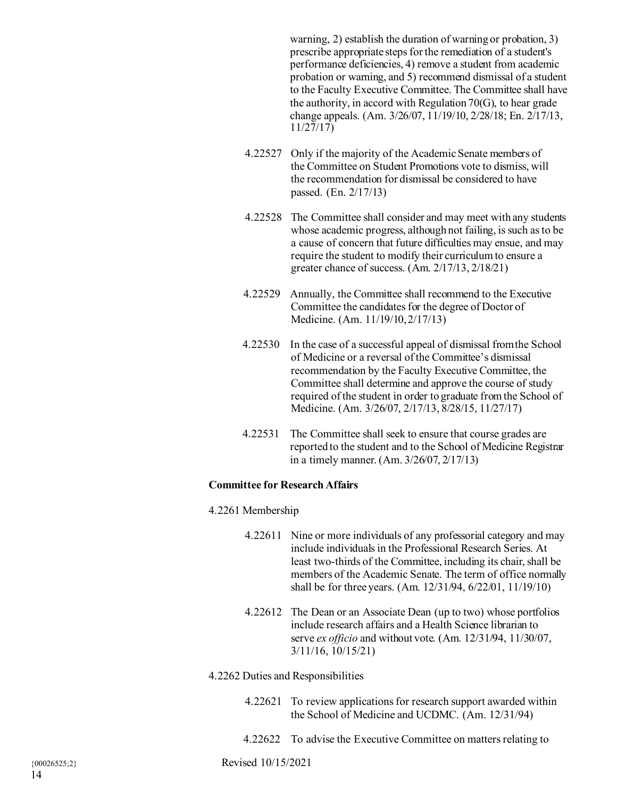warning, 2) establish the duration of warning or probation, 3) prescribe appropriate steps for the remediation of a student's performance deficiencies, 4) remove a student from academic probation or warning, and 5) recommend dismissal of a student to the Faculty Executive Committee. The Committee shall have the authority, in accord with Regulation 70(G), to hear grade change appeals. (Am. 3/26/07, 11/19/10, 2/28/18; En. 2/17/13, 11/27/17)

- 4.22527 Only if the majority of the Academic Senate members of the Committee on Student Promotions vote to dismiss, will the recommendation for dismissal be considered to have passed. (En. 2/17/13)
- 4.22528 The Committee shall consider and may meet with any students whose academic progress, although not failing, is such as to be a cause of concern that future difficulties may ensue, and may require the student to modify their curriculum to ensure a greater chance of success. (Am. 2/17/13, 2/18/21)
- 4.22529 Annually, the Committee shall recommend to the Executive Committee the candidates for the degree of Doctor of Medicine. (Am. 11/19/10,2/17/13)
- 4.22530 In the case of a successful appeal of dismissal fromthe School of Medicine or a reversal of the Committee's dismissal recommendation by the Faculty Executive Committee, the Committee shall determine and approve the course of study required of the student in order to graduate fromthe School of Medicine. (Am. 3/26/07, 2/17/13, 8/28/15, 11/27/17)
- 4.22531 The Committee shall seek to ensure that course grades are reported to the student and to the School of Medicine Registrar in a timely manner. (Am. 3/26/07, 2/17/13)

## **Committee for Research Affairs**

## 4.2261 Membership

- 4.22611 Nine or more individuals of any professorial category and may include individuals in the Professional Research Series. At least two-thirds of the Committee, including its chair, shall be members of the Academic Senate. The term of office normally shall be for three years. (Am. 12/31/94, 6/22/01, 11/19/10)
- 4.22612 The Dean or an Associate Dean (up to two) whose portfolios include research affairs and a Health Science librarian to serve *ex officio* and without vote. (Am. 12/31/94, 11/30/07, 3/11/16, 10/15/21)

## 4.2262 Duties and Responsibilities

- 4.22621 To review applications for research support awarded within the School of Medicine and UCDMC. (Am. 12/31/94)
- 4.22622 To advise the Executive Committee on matters relating to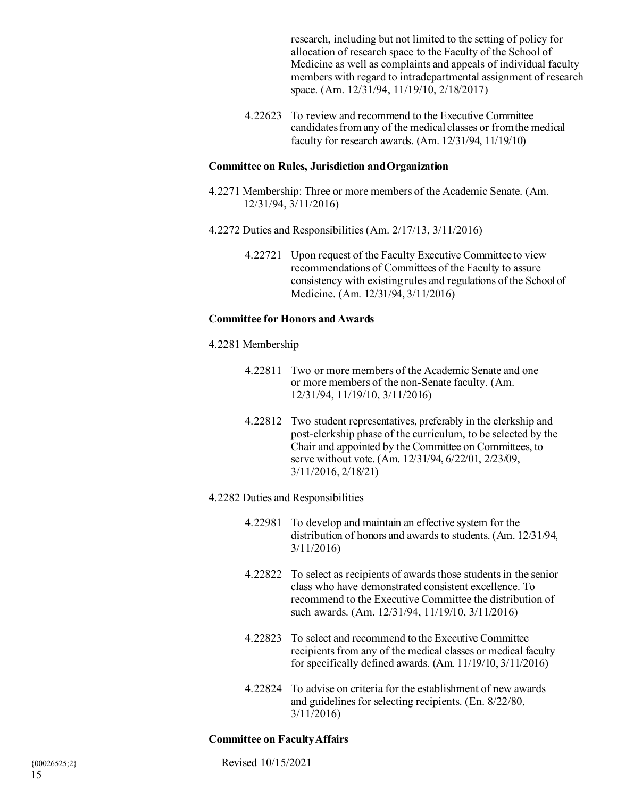research, including but not limited to the setting of policy for allocation of research space to the Faculty of the School of Medicine as well as complaints and appeals of individual faculty members with regard to intradepartmental assignment of research space. (Am. 12/31/94, 11/19/10, 2/18/2017)

4.22623 To review and recommend to the Executive Committee candidatesfromany of the medical classes or fromthe medical faculty for research awards. (Am. 12/31/94, 11/19/10)

## **Committee on Rules, Jurisdiction andOrganization**

- 4.2271 Membership: Three or more members of the Academic Senate. (Am. 12/31/94, 3/11/2016)
- 4.2272 Duties and Responsibilities (Am. 2/17/13, 3/11/2016)
	- 4.22721 Upon request of the Faculty Executive Committee to view recommendations of Committees of the Faculty to assure consistency with existing rules and regulations of the School of Medicine. (Am. 12/31/94, 3/11/2016)

#### **Committee for Honors and Awards**

- 4.2281 Membership
	- 4.22811 Two or more members of the Academic Senate and one or more members of the non-Senate faculty. (Am. 12/31/94, 11/19/10, 3/11/2016)
	- 4.22812 Two student representatives, preferably in the clerkship and post-clerkship phase of the curriculum, to be selected by the Chair and appointed by the Committee on Committees, to serve without vote. (Am. 12/31/94, 6/22/01, 2/23/09, 3/11/2016, 2/18/21)

#### 4.2282 Duties and Responsibilities

- 4.22981 To develop and maintain an effective system for the distribution of honors and awards to students. (Am. 12/31/94, 3/11/2016)
- 4.22822 To select as recipients of awards those students in the senior class who have demonstrated consistent excellence. To recommend to the Executive Committee the distribution of such awards. (Am. 12/31/94, 11/19/10, 3/11/2016)
- 4.22823 To select and recommend to the Executive Committee recipients from any of the medical classes or medical faculty for specifically defined awards.  $(Am. 11/19/10, 3/11/2016)$
- 4.22824 To advise on criteria for the establishment of new awards and guidelines for selecting recipients. (En. 8/22/80, 3/11/2016)

#### **Committee on FacultyAffairs**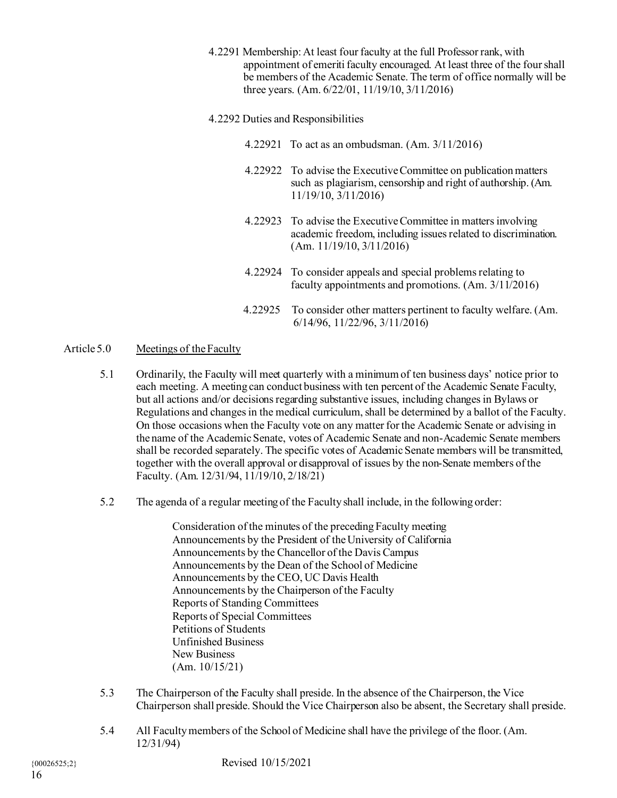4.2291 Membership: At least four faculty at the full Professor rank, with appointment of emeriti faculty encouraged. At least three of the four shall be members of the Academic Senate. The term of office normally will be three years. (Am. 6/22/01, 11/19/10, 3/11/2016)

# 4.2292 Duties and Responsibilities

- 4.22921 To act as an ombudsman. (Am. 3/11/2016)
- 4.22922 To advise the Executive Committee on publication matters such as plagiarism, censorship and right of authorship. (Am. 11/19/10, 3/11/2016)
- 4.22923 To advise the Executive Committee in matters involving academic freedom, including issues related to discrimination. (Am. 11/19/10, 3/11/2016)
- 4.22924 To consider appeals and special problems relating to faculty appointments and promotions. (Am. 3/11/2016)
- 4.22925 To consider other matters pertinent to faculty welfare. (Am. 6/14/96, 11/22/96, 3/11/2016)

# Article 5.0 Meetings of theFaculty

- 5.1 Ordinarily, the Faculty will meet quarterly with a minimum of ten business days' notice prior to each meeting. A meeting can conduct business with ten percent of the Academic Senate Faculty, but all actions and/or decisions regarding substantive issues, including changes in Bylaws or Regulations and changes in the medical curriculum, shall be determined by a ballot of the Faculty. On those occasions when the Faculty vote on any matter for the Academic Senate or advising in the name of the Academic Senate, votes of Academic Senate and non-Academic Senate members shall be recorded separately. The specific votes of Academic Senate members will be transmitted, together with the overall approval or disapproval of issues by the non-Senate members of the Faculty. (Am. 12/31/94, 11/19/10, 2/18/21)
- 5.2 The agenda of a regular meeting of the Faculty shall include, in the following order:

Consideration of the minutes of the preceding Faculty meeting Announcements by the President of the University of California Announcements by the Chancellor of the Davis Campus Announcements by the Dean of the School of Medicine Announcements by the CEO, UC Davis Health Announcements by the Chairperson of the Faculty Reports of Standing Committees Reports of Special Committees Petitions of Students Unfinished Business New Business (Am. 10/15/21)

- 5.3 The Chairperson of the Faculty shall preside. In the absence of the Chairperson, the Vice Chairperson shall preside. Should the Vice Chairperson also be absent, the Secretary shall preside.
- 5.4 All Facultymembers of the School of Medicine shall have the privilege of the floor. (Am. 12/31/94)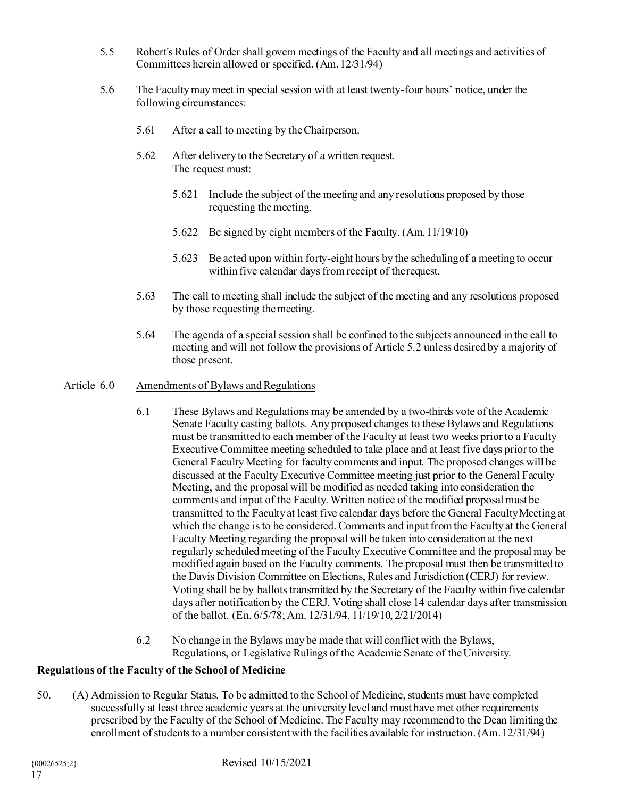- 5.5 Robert's Rules of Order shall govern meetings of the Faculty and all meetings and activities of Committees herein allowed or specified. (Am.12/31/94)
- 5.6 The Facultymaymeet in special session with at least twenty-four hours' notice, under the following circumstances:
	- 5.61 After a call to meeting by theChairperson.
	- 5.62 After delivery to the Secretary of a written request. The request must:
		- 5.621 Include the subject of the meeting and any resolutions proposed by those requesting themeeting.
		- 5.622 Be signed by eight members of the Faculty. (Am.11/19/10)
		- 5.623 Be acted upon within forty-eight hours by the schedulingof a meeting to occur within five calendar days from receipt of therequest.
	- 5.63 The call to meeting shall include the subject of the meeting and any resolutions proposed by those requesting themeeting.
	- 5.64 The agenda of a special session shall be confined to the subjects announced in the call to meeting and will not follow the provisions of Article 5.2 unless desired by a majority of those present.
- Article 6.0 Amendments of Bylaws and Regulations
	- 6.1 These Bylaws and Regulations may be amended by a two-thirds vote of the Academic Senate Faculty casting ballots. Any proposed changes to these Bylaws and Regulations must be transmitted to each member of the Faculty at least two weeks prior to a Faculty Executive Committee meeting scheduled to take place and at least five days prior to the General Faculty Meeting for faculty comments and input. The proposed changes will be discussed at the Faculty Executive Committee meeting just prior to the General Faculty Meeting, and the proposal will be modified as needed taking into consideration the comments and input of the Faculty. Written notice of the modified proposal must be transmitted to the Faculty at least five calendar days before the General FacultyMeeting at which the change isto be considered. Comments and input fromthe Faculty at the General Faculty Meeting regarding the proposal will be taken into consideration at the next regularly scheduled meeting of the Faculty Executive Committee and the proposal may be modified again based on the Faculty comments. The proposal must then be transmitted to the Davis Division Committee on Elections, Rules and Jurisdiction (CERJ) for review. Voting shall be by ballots transmitted by the Secretary of the Faculty within five calendar days after notification by the CERJ. Voting shall close 14 calendar days after transmission of the ballot. (En. 6/5/78; Am. 12/31/94, 11/19/10, 2/21/2014)
	- 6.2 No change in the Bylaws may be made that will conflict with the Bylaws, Regulations, or Legislative Rulings of the Academic Senate of the University.

# **Regulations of the Faculty of the School of Medicine**

50. (A) Admission to Regular Status. To be admitted to the School of Medicine, students must have completed successfully at least three academic years at the university level and must have met other requirements prescribed by the Faculty of the School of Medicine. The Faculty may recommend to the Dean limiting the enrollment of students to a number consistent with the facilities available for instruction. (Am.12/31/94)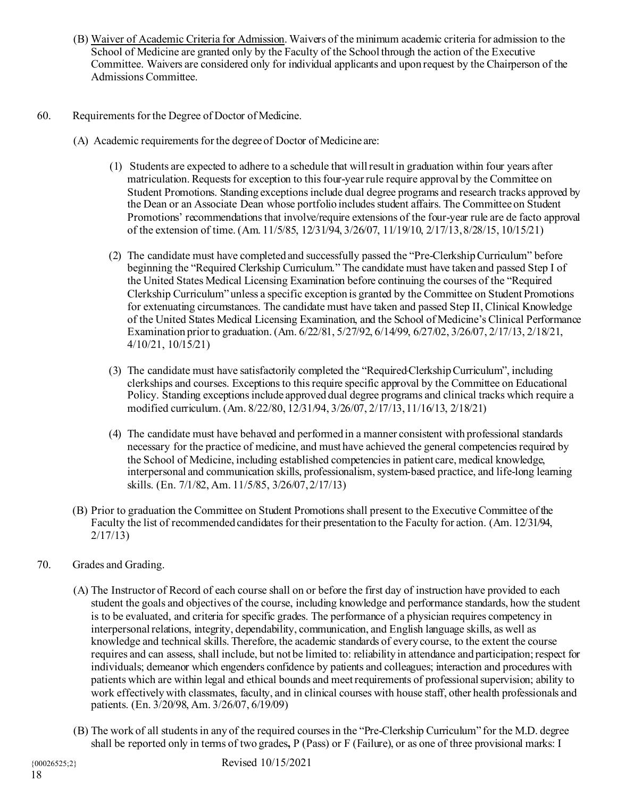- (B) Waiver of Academic Criteria for Admission. Waivers of the minimum academic criteria for admission to the School of Medicine are granted only by the Faculty of the School through the action of the Executive Committee. Waivers are considered only for individual applicants and upon request by the Chairperson of the Admissions Committee.
- 60. Requirements for the Degree of Doctor of Medicine.
	- (A) Academic requirements for the degree of Doctor of Medicine are:
		- (1) Students are expected to adhere to a schedule that will result in graduation within four years after matriculation. Requests for exception to this four-year rule require approval by the Committee on Student Promotions. Standing exceptions include dual degree programs and research tracks approved by the Dean or an Associate Dean whose portfolio includes student affairs. The Committee on Student Promotions' recommendations that involve/require extensions of the four-year rule are de facto approval of the extension of time. (Am. 11/5/85, 12/31/94, 3/26/07, 11/19/10, 2/17/13,8/28/15, 10/15/21)
		- (2) The candidate must have completed and successfully passed the "Pre-Clerkship Curriculum" before beginning the "Required Clerkship Curriculum." The candidate must have taken and passed Step I of the United States Medical Licensing Examination before continuing the courses of the "Required Clerkship Curriculum" unless a specific exception is granted by the Committee on Student Promotions for extenuating circumstances. The candidate must have taken and passed Step II, Clinical Knowledge of the United States Medical Licensing Examination, and the School of Medicine's Clinical Performance Examination prior to graduation. (Am. 6/22/81, 5/27/92, 6/14/99, 6/27/02, 3/26/07, 2/17/13, 2/18/21, 4/10/21, 10/15/21)
		- (3) The candidate must have satisfactorily completed the "RequiredClerkshipCurriculum", including clerkships and courses. Exceptions to this require specific approval by the Committee on Educational Policy. Standing exceptions include approved dual degree programs and clinical tracks which require a modified curriculum. (Am. 8/22/80, 12/31/94, 3/26/07, 2/17/13,11/16/13, 2/18/21)
		- (4) The candidate must have behaved and performed in a manner consistent with professional standards necessary for the practice of medicine, and must have achieved the general competencies required by the School of Medicine, including established competencies in patient care, medical knowledge, interpersonal and communication skills, professionalism, system-based practice, and life-long learning skills. (En. 7/1/82, Am. 11/5/85, 3/26/07,2/17/13)
	- (B) Prior to graduation the Committee on Student Promotionsshall present to the Executive Committee of the Faculty the list of recommended candidates for their presentation to the Faculty for action. (Am. 12/31/94, 2/17/13)
- 70. Grades and Grading.
	- (A) The Instructor of Record of each course shall on or before the first day of instruction have provided to each student the goals and objectives of the course, including knowledge and performance standards, how the student is to be evaluated, and criteria for specific grades. The performance of a physician requires competency in interpersonal relations, integrity, dependability, communication, and English language skills, as well as knowledge and technical skills. Therefore, the academic standards of every course, to the extent the course requires and can assess, shall include, but not be limited to: reliability in attendance and participation; respect for individuals; demeanor which engenders confidence by patients and colleagues; interaction and procedures with patients which are within legal and ethical bounds and meet requirements of professional supervision; ability to work effectively with classmates, faculty, and in clinical courses with house staff, other health professionals and patients. (En. 3/20/98, Am. 3/26/07, 6/19/09)
	- (B) The work of all students in any of the required courses in the "Pre-Clerkship Curriculum" for the M.D. degree shall be reported only in terms of two grades**,** P (Pass) or F (Failure), or as one of three provisional marks: I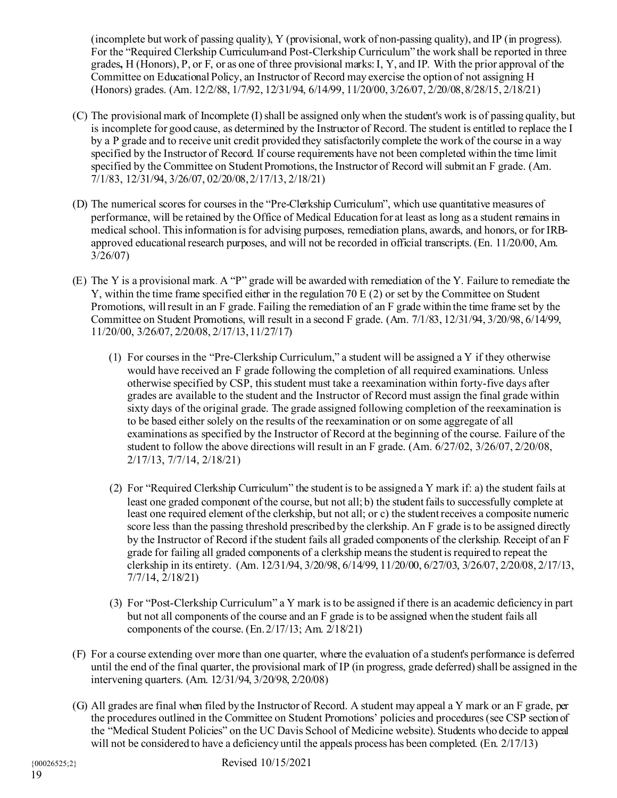(incomplete but work of passing quality), Y (provisional, work of non-passing quality), and IP (in progress). For the "Required Clerkship Curriculumand Post-Clerkship Curriculum" the work shall be reported in three grades**,** H (Honors), P, or F, or as one of three provisional marks:I, Y, and IP. With the prior approval of the Committee on Educational Policy, an Instructor of Record may exercise the option of not assigning H (Honors) grades. (Am. 12/2/88, 1/7/92, 12/31/94, 6/14/99, 11/20/00, 3/26/07, 2/20/08,8/28/15, 2/18/21)

- (C) The provisional mark of Incomplete (I) shall be assigned onlywhen the student's work is of passing quality, but is incomplete for good cause, as determined by the Instructor of Record. The student is entitled to replace the I by a P grade and to receive unit credit provided they satisfactorily complete the work of the course in a way specified by the Instructor of Record. If course requirements have not been completed within the time limit specified by the Committee on Student Promotions, the Instructor of Record will submit an F grade. (Am. 7/1/83, 12/31/94, 3/26/07, 02/20/08,2/17/13, 2/18/21)
- (D) The numerical scores for courses in the "Pre-Clerkship Curriculum", which use quantitative measures of performance, will be retained by the Office of Medical Education for at least as long as a student remains in medical school. This information is for advising purposes, remediation plans, awards, and honors, or for IRBapproved educational research purposes, and will not be recorded in official transcripts. (En. 11/20/00, Am. 3/26/07)
- (E) The Y is a provisional mark. A "P" grade will be awarded with remediation of the Y. Failure to remediate the Y, within the time frame specified either in the regulation 70 E (2) or set by the Committee on Student Promotions, will result in an F grade. Failing the remediation of an F grade within the time frame set by the Committee on Student Promotions, will result in a second F grade. (Am. 7/1/83, 12/31/94, 3/20/98, 6/14/99, 11/20/00, 3/26/07, 2/20/08, 2/17/13,11/27/17)
	- (1) For courses in the "Pre-Clerkship Curriculum," a student will be assigned a Y if they otherwise would have received an F grade following the completion of all required examinations. Unless otherwise specified by CSP, this student must take a reexamination within forty-five days after grades are available to the student and the Instructor of Record must assign the final grade within sixty days of the original grade. The grade assigned following completion of the reexamination is to be based either solely on the results of the reexamination or on some aggregate of all examinations as specified by the Instructor of Record at the beginning of the course. Failure of the student to follow the above directions will result in an F grade. (Am. 6/27/02, 3/26/07, 2/20/08, 2/17/13, 7/7/14, 2/18/21)
	- (2) For "Required Clerkship Curriculum" the student isto be assigned a Y mark if: a) the student fails at least one graded component of the course, but not all; b) the student fails to successfully complete at least one required element of the clerkship, but not all; or c) the student receives a composite numeric score less than the passing threshold prescribed by the clerkship. An F grade is to be assigned directly by the Instructor of Record if the student fails all graded components of the clerkship. Receipt of an F grade for failing all graded components of a clerkship means the student is required to repeat the clerkship in its entirety. (Am. 12/31/94, 3/20/98, 6/14/99, 11/20/00, 6/27/03, 3/26/07, 2/20/08, 2/17/13, 7/7/14, 2/18/21)
	- (3) For "Post-Clerkship Curriculum" a Y mark is to be assigned if there is an academic deficiency in part but not all components of the course and an F grade isto be assigned when the student fails all components of the course.  $(En. 2/17/13; Am. 2/18/21)$
- (F) For a course extending over more than one quarter, where the evaluation of a student's performance is deferred until the end of the final quarter, the provisional mark of IP (in progress, grade deferred) shall be assigned in the intervening quarters. (Am. 12/31/94, 3/20/98, 2/20/08)
- (G) All grades are final when filed by the Instructor of Record. A student may appeal a Y mark or an F grade, per the procedures outlined in the Committee on Student Promotions' policies and procedures (see CSP section of the "Medical Student Policies" on the UC Davis School of Medicine website). Students who decide to appeal will not be considered to have a deficiency until the appeals process has been completed. (En. 2/17/13)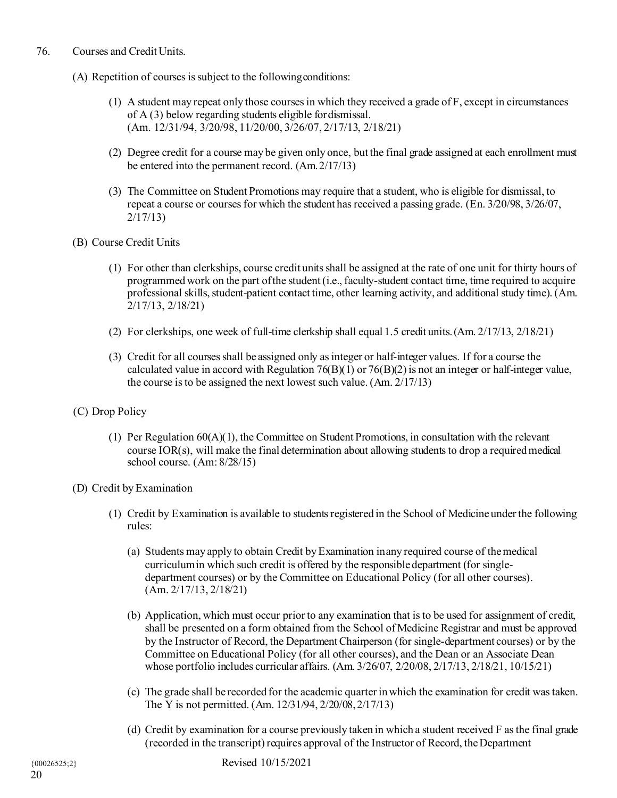## 76. Courses and Credit Units.

- (A) Repetition of courses is subject to the followingconditions:
	- (1) A student may repeat only those coursesin which they received a grade of F, except in circumstances of A (3) below regarding students eligible fordismissal. (Am. 12/31/94, 3/20/98, 11/20/00, 3/26/07, 2/17/13, 2/18/21)
	- (2) Degree credit for a course may be given only once, but the final grade assigned at each enrollment must be entered into the permanent record. (Am.2/17/13)
	- (3) The Committee on Student Promotions may require that a student, who is eligible for dismissal, to repeat a course or courses for which the student has received a passing grade. (En. 3/20/98, 3/26/07, 2/17/13)
- (B) Course Credit Units
	- (1) For other than clerkships, course credit units shall be assigned at the rate of one unit for thirty hours of programmedwork on the part ofthe student(i.e., faculty-student contact time, time required to acquire professional skills, student-patient contact time, other learning activity, and additional study time). (Am. 2/17/13, 2/18/21)
	- (2) For clerkships, one week of full-time clerkship shall equal 1.5 credit units.(Am. 2/17/13, 2/18/21)
	- (3) Credit for all courses shall be assigned only as integer or half-integer values. If for a course the calculated value in accord with Regulation 76(B)(1) or 76(B)(2) is not an integer or half-integer value, the course isto be assigned the next lowest such value. (Am. 2/17/13)
- (C) Drop Policy
	- (1) Per Regulation  $60(A)(1)$ , the Committee on Student Promotions, in consultation with the relevant course IOR(s), will make the final determination about allowing students to drop a required medical school course. (Am: 8/28/15)
- (D) Credit byExamination
	- (1) Credit by Examination is available to students registered in the School of Medicine under the following rules:
		- (a) Students may apply to obtain Credit byExamination inany required course of themedical curriculumin which such credit is offered by the responsible department (for singledepartment courses) or by the Committee on Educational Policy (for all other courses). (Am. 2/17/13, 2/18/21)
		- (b) Application, which must occur prior to any examination that is to be used for assignment of credit, shall be presented on a form obtained from the School of Medicine Registrar and must be approved by the Instructor of Record, the Department Chairperson (for single-department courses) or by the Committee on Educational Policy (for all other courses), and the Dean or an Associate Dean whose portfolio includes curricular affairs. (Am. 3/26/07, 2/20/08, 2/17/13, 2/18/21, 10/15/21)
		- (c) The grade shall be recorded for the academic quarterinwhich the examination for credit wastaken. The Y is not permitted. (Am. 12/31/94, 2/20/08,2/17/13)
		- (d) Credit by examination for a course previously taken in which a student received F as the final grade (recorded in the transcript) requires approval of the Instructor of Record, the Department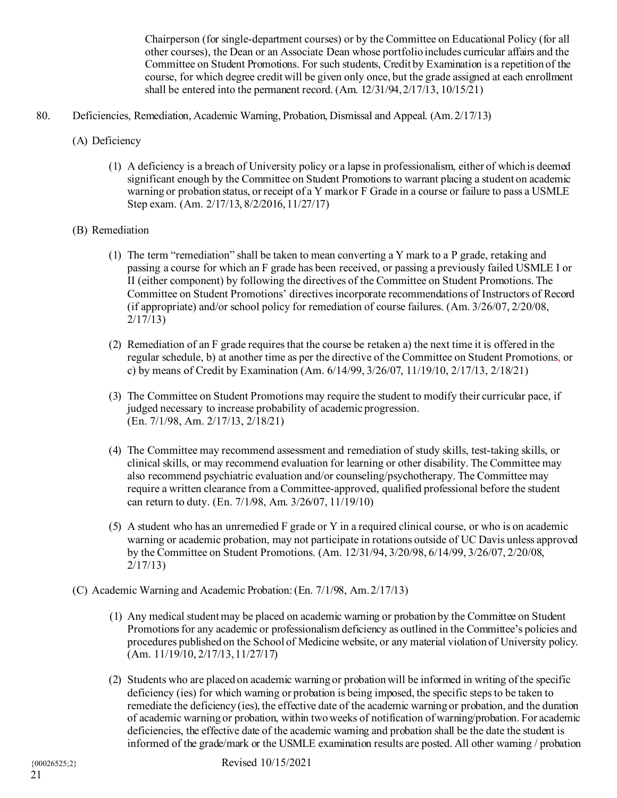Chairperson (for single-department courses) or by the Committee on Educational Policy (for all other courses), the Dean or an Associate Dean whose portfolio includes curricular affairs and the Committee on Student Promotions. For such students, Credit by Examination is a repetition of the course, for which degree credit will be given only once, but the grade assigned at each enrollment shall be entered into the permanent record. (Am. 12/31/94,2/17/13, 10/15/21)

- 80. Deficiencies, Remediation, Academic Warning, Probation, Dismissal and Appeal. (Am.2/17/13)
	- (A) Deficiency
		- (1) A deficiency is a breach of University policy or a lapse in professionalism, either of which is deemed significant enough by the Committee on Student Promotions to warrant placing a student on academic warning or probation status, or receipt of a Y markor F Grade in a course or failure to pass a USMLE Step exam. (Am. 2/17/13, 8/2/2016,11/27/17)

# (B) Remediation

- (1) The term "remediation" shall be taken to mean converting a Y mark to a P grade, retaking and passing a course for which an F grade has been received, or passing a previously failed USMLE I or II (either component) by following the directives of the Committee on Student Promotions. The Committee on Student Promotions' directives incorporate recommendations of Instructors of Record (if appropriate) and/or school policy for remediation of course failures. (Am. 3/26/07, 2/20/08, 2/17/13)
- (2) Remediation of an F grade requires that the course be retaken a) the next time it is offered in the regular schedule, b) at another time as per the directive of the Committee on Student Promotions, or c) by means of Credit by Examination (Am. 6/14/99, 3/26/07, 11/19/10, 2/17/13, 2/18/21)
- (3) The Committee on Student Promotions may require the student to modify their curricular pace, if judged necessary to increase probability of academic progression. (En. 7/1/98, Am. 2/17/13, 2/18/21)
- (4) The Committee may recommend assessment and remediation of study skills, test-taking skills, or clinical skills, or may recommend evaluation for learning or other disability. The Committee may also recommend psychiatric evaluation and/or counseling/psychotherapy. The Committee may require a written clearance from a Committee-approved, qualified professional before the student can return to duty. (En. 7/1/98, Am. 3/26/07, 11/19/10)
- (5) A student who has an unremedied F grade or Y in a required clinical course, or who is on academic warning or academic probation, may not participate in rotations outside of UC Davis unless approved by the Committee on Student Promotions. (Am. 12/31/94, 3/20/98, 6/14/99, 3/26/07, 2/20/08, 2/17/13)
- (C) Academic Warning and Academic Probation: (En. 7/1/98, Am.2/17/13)
	- (1) Any medical student may be placed on academic warning or probation by the Committee on Student Promotions for any academic or professionalism deficiency as outlined in the Committee's policies and procedures published on the School of Medicine website, or any material violation of University policy.  $(Am. 11/19/10, 2/17/13, 11/27/17)$
	- (2) Students who are placed on academic warning or probation will be informed in writing of the specific deficiency (ies) for which warning or probation is being imposed, the specific steps to be taken to remediate the deficiency (ies), the effective date of the academic warning or probation, and the duration of academic warning or probation, within two weeks of notification of warning/probation. For academic deficiencies, the effective date of the academic warning and probation shall be the date the student is informed of the grade/mark or the USMLE examination results are posted. All other warning / probation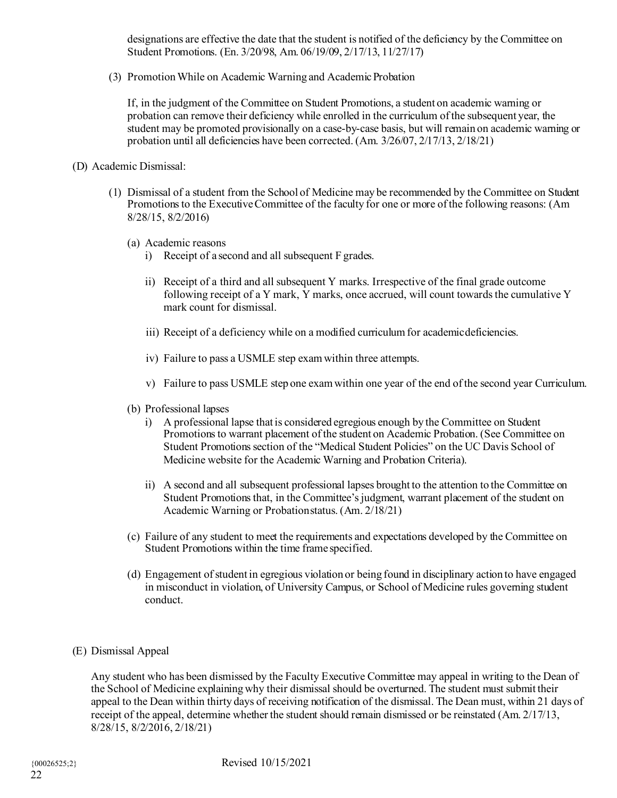designations are effective the date that the student is notified of the deficiency by the Committee on Student Promotions. (En. 3/20/98, Am. 06/19/09, 2/17/13, 11/27/17)

(3) Promotion While on Academic Warning and Academic Probation

If, in the judgment of the Committee on Student Promotions, a student on academic warning or probation can remove their deficiency while enrolled in the curriculum of the subsequent year, the student may be promoted provisionally on a case-by-case basis, but will remain on academic warning or probation until all deficiencies have been corrected. (Am. 3/26/07, 2/17/13, 2/18/21)

## (D) Academic Dismissal:

- (1) Dismissal of a student from the School of Medicine may be recommended by the Committee on Student Promotions to the Executive Committee of the faculty for one or more of the following reasons: (Am 8/28/15, 8/2/2016)
	- (a) Academic reasons
		- i) Receipt of a second and all subsequent F grades.
		- ii) Receipt of a third and all subsequent Y marks. Irrespective of the final grade outcome following receipt of a Y mark, Y marks, once accrued, will count towards the cumulative Y mark count for dismissal.
		- iii) Receipt of a deficiency while on a modified curriculum for academicdeficiencies.
		- iv) Failure to pass a USMLE step examwithin three attempts.
		- v) Failure to pass USMLE step one examwithin one year of the end of the second year Curriculum.
	- (b) Professional lapses
		- i) A professional lapse that is considered egregious enough by the Committee on Student Promotions to warrant placement of the student on Academic Probation. (See Committee on Student Promotions section of the "Medical Student Policies" on the UC Davis School of Medicine website for the Academic Warning and Probation Criteria).
		- ii) A second and all subsequent professional lapses brought to the attention to the Committee on Student Promotions that, in the Committee's judgment, warrant placement of the student on Academic Warning or Probationstatus. (Am. 2/18/21)
	- (c) Failure of any student to meet the requirements and expectations developed by the Committee on Student Promotions within the time frame specified.
	- (d) Engagement ofstudent in egregious violation or being found in disciplinary action to have engaged in misconduct in violation, of University Campus, or School of Medicine rules governing student conduct.
- (E) Dismissal Appeal

Any student who has been dismissed by the Faculty Executive Committee may appeal in writing to the Dean of the School of Medicine explaining why their dismissal should be overturned. The student must submit their appeal to the Dean within thirty days of receiving notification of the dismissal. The Dean must, within 21 days of receipt of the appeal, determine whether the student should remain dismissed or be reinstated (Am. 2/17/13, 8/28/15, 8/2/2016, 2/18/21)